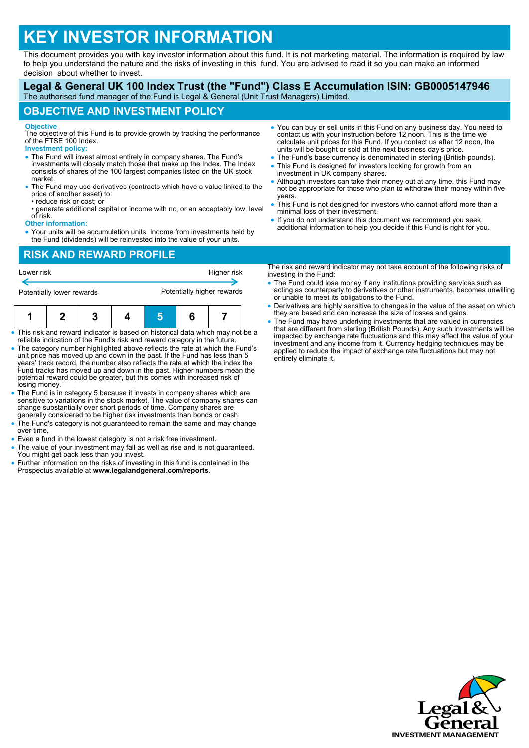# **KEY INVESTOR INFORMATION**

This document provides you with key investor information about this fund. It is not marketing material. The information is required by law to help you understand the nature and the risks of investing in this fund. You are advised to read it so you can make an informed decision about whether to invest.

#### **Legal & General UK 100 Index Trust (the "Fund") Class E Accumulation ISIN: GB0005147946** The authorised fund manager of the Fund is Legal & General (Unit Trust Managers) Limited.

## **OBJECTIVE AND INVESTMENT POLICY**

#### **Objective**

The objective of this Fund is to provide growth by tracking the performance of the FTSE 100 Index. **Investment policy:**

- The Fund will invest almost entirely in company shares. The Fund's investments will closely match those that make up the Index. The Index consists of shares of the 100 largest companies listed on the UK stock market.
- The Fund may use derivatives (contracts which have a value linked to the price of another asset) to:
- reduce risk or cost; or
- generate additional capital or income with no, or an acceptably low, level of risk.

#### **Other information:**

 Your units will be accumulation units. Income from investments held by the Fund (dividends) will be reinvested into the value of your units.

## **RISK AND REWARD PROFILE**

| Lower risk                |  |  |  | Higher risk                |  |  |  |
|---------------------------|--|--|--|----------------------------|--|--|--|
| Potentially lower rewards |  |  |  | Potentially higher rewards |  |  |  |
|                           |  |  |  |                            |  |  |  |

- This risk and reward indicator is based on historical data which may not be a reliable indication of the Fund's risk and reward category in the future.
- The category number highlighted above reflects the rate at which the Fund's unit price has moved up and down in the past. If the Fund has less than 5 years' track record, the number also reflects the rate at which the index the Fund tracks has moved up and down in the past. Higher numbers mean the potential reward could be greater, but this comes with increased risk of losing money.
- The Fund is in category 5 because it invests in company shares which are sensitive to variations in the stock market. The value of company shares can change substantially over short periods of time. Company shares are generally considered to be higher risk investments than bonds or cash.
- The Fund's category is not guaranteed to remain the same and may change over time.
- Even a fund in the lowest category is not a risk free investment.
- The value of your investment may fall as well as rise and is not guaranteed. You might get back less than you invest.
- Further information on the risks of investing in this fund is contained in the Prospectus available at **www.legalandgeneral.com/reports**.
- You can buy or sell units in this Fund on any business day. You need to contact us with your instruction before 12 noon. This is the time we calculate unit prices for this Fund. If you contact us after 12 noon, the units will be bought or sold at the next business day's price.
- The Fund's base currency is denominated in sterling (British pounds).
- This Fund is designed for investors looking for growth from an investment in UK company shares.
- Although investors can take their money out at any time, this Fund may not be appropriate for those who plan to withdraw their money within five years.
- This Fund is not designed for investors who cannot afford more than a minimal loss of their investment.
- If you do not understand this document we recommend you seek additional information to help you decide if this Fund is right for you.

The risk and reward indicator may not take account of the following risks of investing in the Fund:

- The Fund could lose money if any institutions providing services such as acting as counterparty to derivatives or other instruments, becomes unwilling or unable to meet its obligations to the Fund.
- Derivatives are highly sensitive to changes in the value of the asset on which they are based and can increase the size of losses and gains.
- The Fund may have underlying investments that are valued in currencies that are different from sterling (British Pounds). Any such investments will be impacted by exchange rate fluctuations and this may affect the value of your investment and any income from it. Currency hedging techniques may be applied to reduce the impact of exchange rate fluctuations but may not entirely eliminate it.